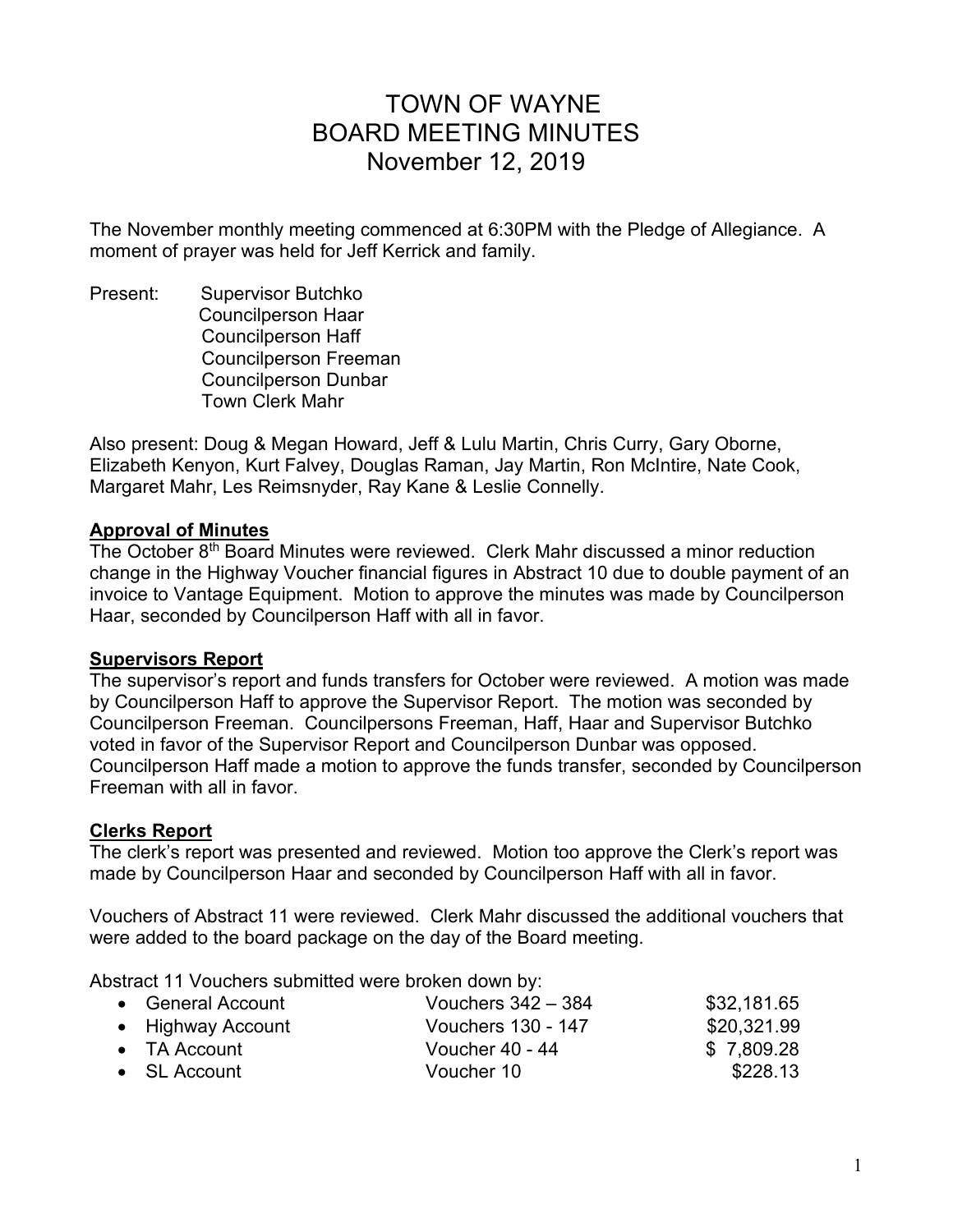# TOWN OF WAYNE BOARD MEETING MINUTES November 12, 2019

The November monthly meeting commenced at 6:30PM with the Pledge of Allegiance. A moment of prayer was held for Jeff Kerrick and family.

Present: Supervisor Butchko Councilperson Haar Councilperson Haff Councilperson Freeman Councilperson Dunbar Town Clerk Mahr

Also present: Doug & Megan Howard, Jeff & Lulu Martin, Chris Curry, Gary Oborne, Elizabeth Kenyon, Kurt Falvey, Douglas Raman, Jay Martin, Ron McIntire, Nate Cook, Margaret Mahr, Les Reimsnyder, Ray Kane & Leslie Connelly.

#### **Approval of Minutes**

The October 8<sup>th</sup> Board Minutes were reviewed. Clerk Mahr discussed a minor reduction change in the Highway Voucher financial figures in Abstract 10 due to double payment of an invoice to Vantage Equipment. Motion to approve the minutes was made by Councilperson Haar, seconded by Councilperson Haff with all in favor.

#### **Supervisors Report**

The supervisor's report and funds transfers for October were reviewed. A motion was made by Councilperson Haff to approve the Supervisor Report. The motion was seconded by Councilperson Freeman. Councilpersons Freeman, Haff, Haar and Supervisor Butchko voted in favor of the Supervisor Report and Councilperson Dunbar was opposed. Councilperson Haff made a motion to approve the funds transfer, seconded by Councilperson Freeman with all in favor.

#### **Clerks Report**

The clerk's report was presented and reviewed. Motion too approve the Clerk's report was made by Councilperson Haar and seconded by Councilperson Haff with all in favor.

Vouchers of Abstract 11 were reviewed. Clerk Mahr discussed the additional vouchers that were added to the board package on the day of the Board meeting.

Abstract 11 Vouchers submitted were broken down by:

| • General Account    | Vouchers $342 - 384$      | \$32,181.65 |
|----------------------|---------------------------|-------------|
| • Highway Account    | <b>Vouchers 130 - 147</b> | \$20,321.99 |
| $\bullet$ TA Account | Voucher 40 - 44           | \$7,809.28  |
| $\bullet$ SL Account | Voucher 10                | \$228.13    |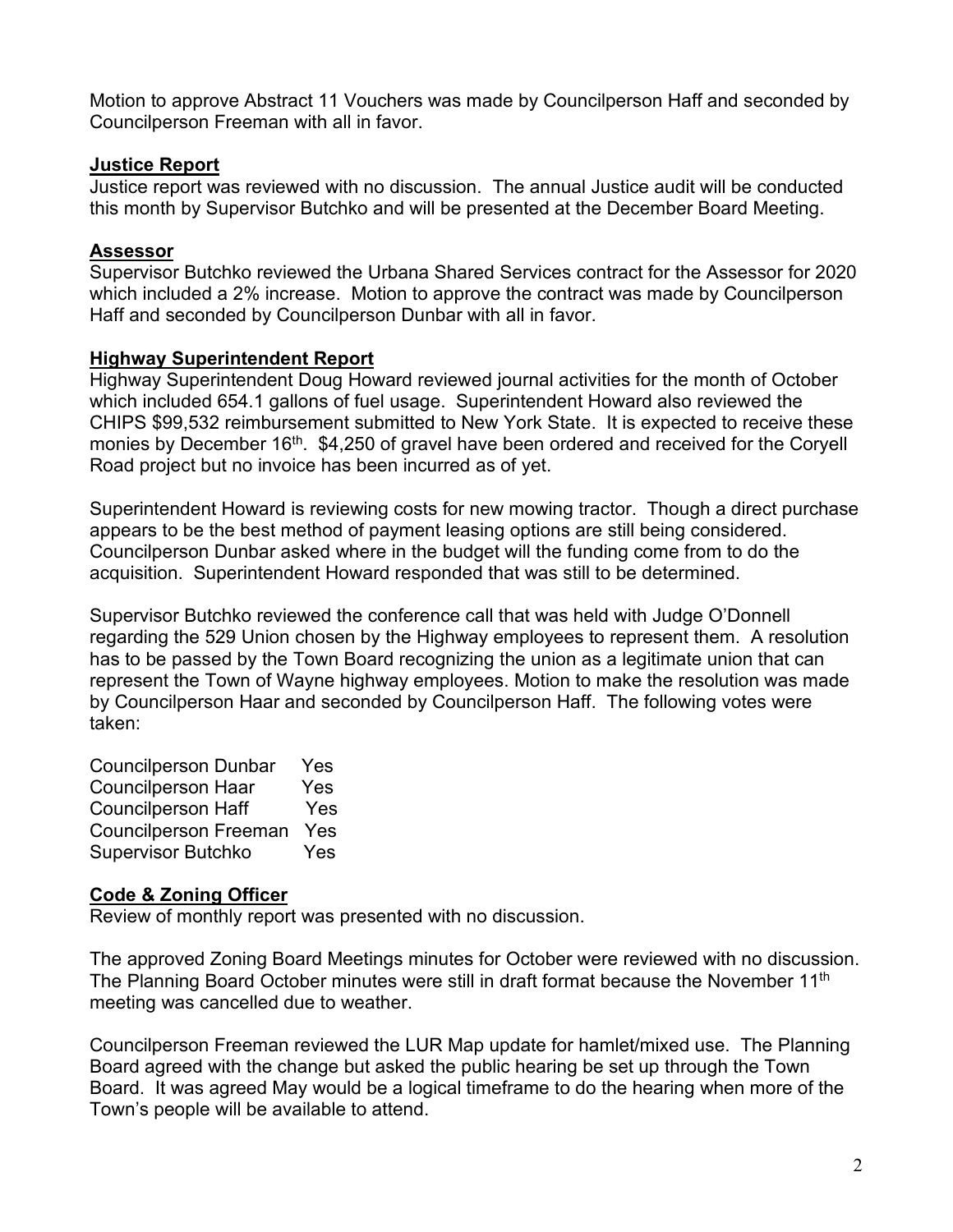Motion to approve Abstract 11 Vouchers was made by Councilperson Haff and seconded by Councilperson Freeman with all in favor.

## **Justice Report**

Justice report was reviewed with no discussion. The annual Justice audit will be conducted this month by Supervisor Butchko and will be presented at the December Board Meeting.

# **Assessor**

Supervisor Butchko reviewed the Urbana Shared Services contract for the Assessor for 2020 which included a 2% increase. Motion to approve the contract was made by Councilperson Haff and seconded by Councilperson Dunbar with all in favor.

## **Highway Superintendent Report**

Highway Superintendent Doug Howard reviewed journal activities for the month of October which included 654.1 gallons of fuel usage. Superintendent Howard also reviewed the CHIPS \$99,532 reimbursement submitted to New York State. It is expected to receive these monies by December 16<sup>th</sup>. \$4,250 of gravel have been ordered and received for the Coryell Road project but no invoice has been incurred as of yet.

Superintendent Howard is reviewing costs for new mowing tractor. Though a direct purchase appears to be the best method of payment leasing options are still being considered. Councilperson Dunbar asked where in the budget will the funding come from to do the acquisition. Superintendent Howard responded that was still to be determined.

Supervisor Butchko reviewed the conference call that was held with Judge O'Donnell regarding the 529 Union chosen by the Highway employees to represent them. A resolution has to be passed by the Town Board recognizing the union as a legitimate union that can represent the Town of Wayne highway employees. Motion to make the resolution was made by Councilperson Haar and seconded by Councilperson Haff. The following votes were taken:

Councilperson Dunbar Yes Councilperson Haar Yes Councilperson Haff Yes Councilperson Freeman Yes Supervisor Butchko Yes

# **Code & Zoning Officer**

Review of monthly report was presented with no discussion.

The approved Zoning Board Meetings minutes for October were reviewed with no discussion. The Planning Board October minutes were still in draft format because the November  $11<sup>th</sup>$ meeting was cancelled due to weather.

Councilperson Freeman reviewed the LUR Map update for hamlet/mixed use. The Planning Board agreed with the change but asked the public hearing be set up through the Town Board. It was agreed May would be a logical timeframe to do the hearing when more of the Town's people will be available to attend.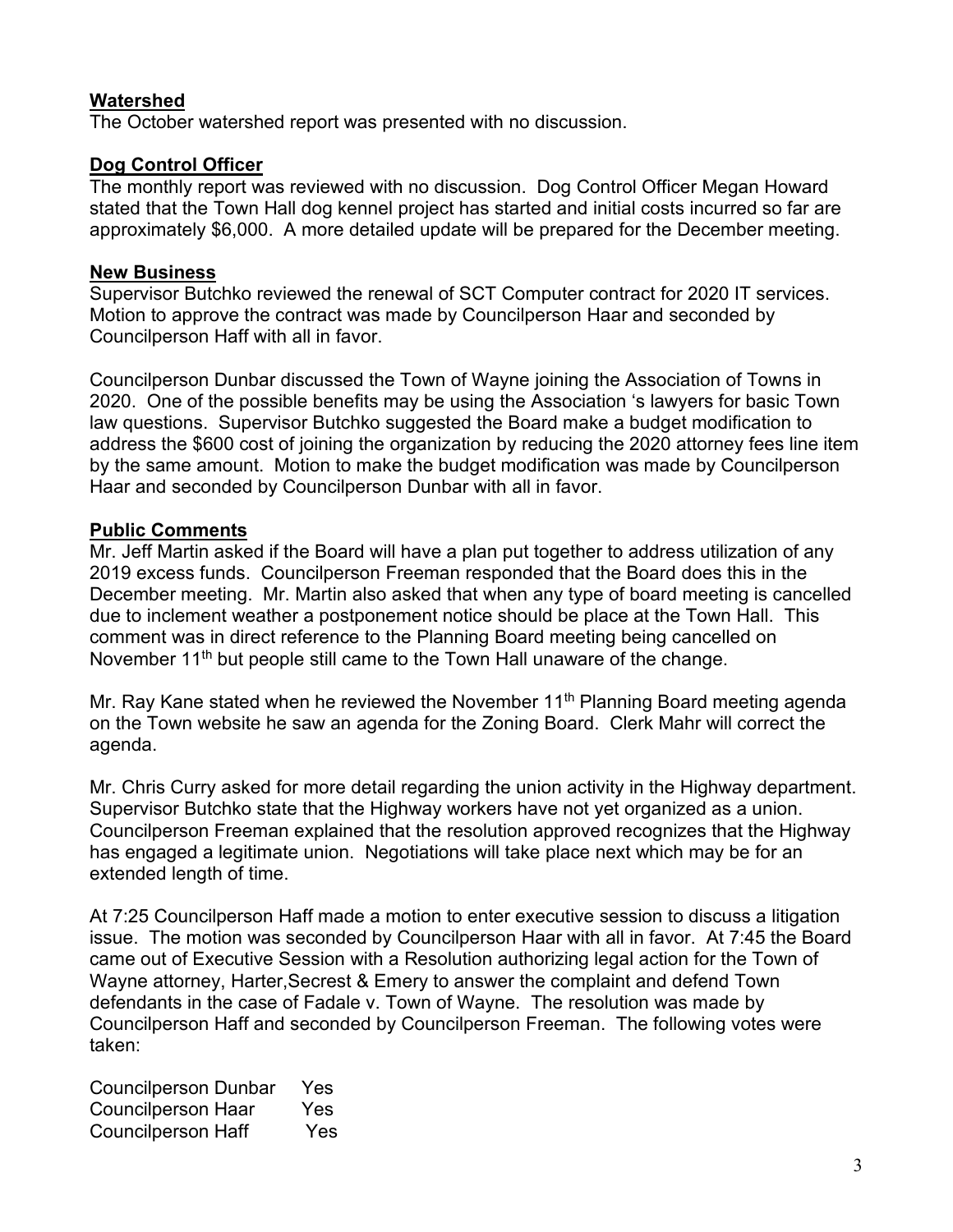# **Watershed**

The October watershed report was presented with no discussion.

## **Dog Control Officer**

The monthly report was reviewed with no discussion. Dog Control Officer Megan Howard stated that the Town Hall dog kennel project has started and initial costs incurred so far are approximately \$6,000. A more detailed update will be prepared for the December meeting.

#### **New Business**

Supervisor Butchko reviewed the renewal of SCT Computer contract for 2020 IT services. Motion to approve the contract was made by Councilperson Haar and seconded by Councilperson Haff with all in favor.

Councilperson Dunbar discussed the Town of Wayne joining the Association of Towns in 2020. One of the possible benefits may be using the Association 's lawyers for basic Town law questions. Supervisor Butchko suggested the Board make a budget modification to address the \$600 cost of joining the organization by reducing the 2020 attorney fees line item by the same amount. Motion to make the budget modification was made by Councilperson Haar and seconded by Councilperson Dunbar with all in favor.

## **Public Comments**

Mr. Jeff Martin asked if the Board will have a plan put together to address utilization of any 2019 excess funds. Councilperson Freeman responded that the Board does this in the December meeting. Mr. Martin also asked that when any type of board meeting is cancelled due to inclement weather a postponement notice should be place at the Town Hall. This comment was in direct reference to the Planning Board meeting being cancelled on November 11<sup>th</sup> but people still came to the Town Hall unaware of the change.

Mr. Ray Kane stated when he reviewed the November 11<sup>th</sup> Planning Board meeting agenda on the Town website he saw an agenda for the Zoning Board. Clerk Mahr will correct the agenda.

Mr. Chris Curry asked for more detail regarding the union activity in the Highway department. Supervisor Butchko state that the Highway workers have not yet organized as a union. Councilperson Freeman explained that the resolution approved recognizes that the Highway has engaged a legitimate union. Negotiations will take place next which may be for an extended length of time.

At 7:25 Councilperson Haff made a motion to enter executive session to discuss a litigation issue. The motion was seconded by Councilperson Haar with all in favor. At 7:45 the Board came out of Executive Session with a Resolution authorizing legal action for the Town of Wayne attorney, Harter,Secrest & Emery to answer the complaint and defend Town defendants in the case of Fadale v. Town of Wayne. The resolution was made by Councilperson Haff and seconded by Councilperson Freeman. The following votes were taken:

| <b>Councilperson Dunbar</b> | Yes |
|-----------------------------|-----|
| Councilperson Haar          | Yes |
| <b>Councilperson Haff</b>   | Yes |